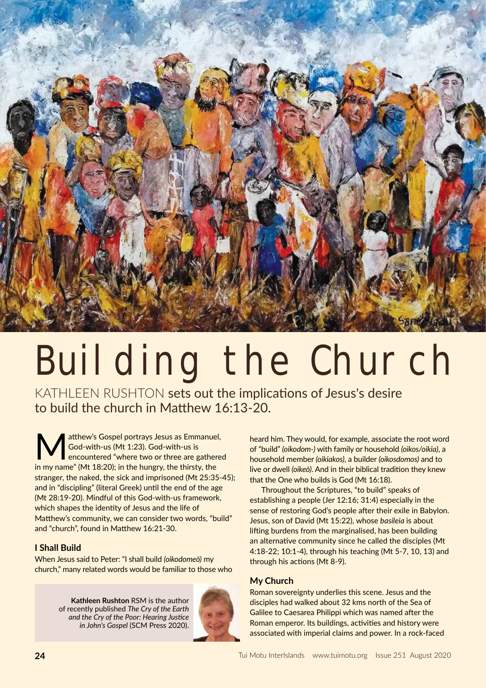

# Building the Church

KATHLEEN RUSHTON sets out the implications of Jesus's desire to build the church in Matthew 16:13-20.

atthew's Gospel portrays Jesus as Emmanuel, God-with-us (Mt 1:23). God-with-us is encountered "where two or three are gathered in my name" (Mt 18:20); in the hungry, the thirsty, the stranger, the naked, the sick and imprisoned (Mt 25:35-45); and in "discipling" (literal Greek) until the end of the age (Mt 28:19-20). Mindful of this God-with-us framework, which shapes the identity of Jesus and the life of Matthew's community, we can consider two words, "build" and "church", found in Matthew 16:21-30.

## **I Shall Build**

When Jesus said to Peter: "I shall build *(oikodomeō)* my church," many related words would be familiar to those who

> **Kathleen Rushton** RSM is the author of recently published *The Cry of the Earth and the Cry of the Poor: Hearing Justice in John's Gospel* (SCM Press 2020).



heard him. They would, for example, associate the root word of "build" *(oikodom-)* with family or household *(oikos/oikia)*, a household member *(oikiakos)*, a builder *(oikosdomos)* and to live or dwell *(oikeō)*. And in their biblical tradition they knew that the One who builds is God (Mt 16:18).

Throughout the Scriptures, "to build" speaks of establishing a people (Jer 12:16; 31:4) especially in the sense of restoring God's people after their exile in Babylon. Jesus, son of David (Mt 15:22), whose *basileia* is about lifting burdens from the marginalised, has been building an alternative community since he called the disciples (Mt 4:18-22; 10:1-4), through his teaching (Mt 5-7, 10, 13) and through his actions (Mt 8-9).

# **My Church**

Roman sovereignty underlies this scene. Jesus and the disciples had walked about 32 kms north of the Sea of Galilee to Caesarea Philippi which was named after the Roman emperor. Its buildings, activities and history were associated with imperial claims and power. In a rock-faced